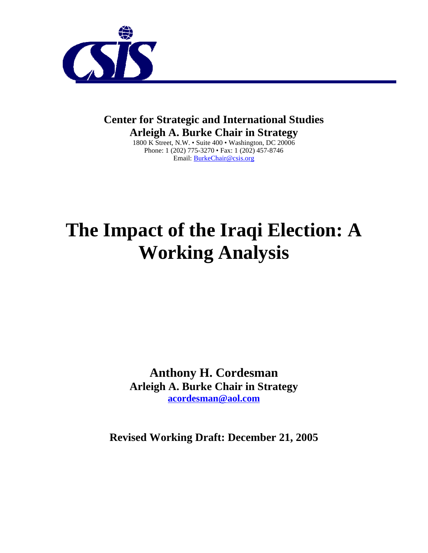

# **Center for Strategic and International Studies Arleigh A. Burke Chair in Strategy**

1800 K Street, N.W. • Suite 400 • Washington, DC 20006 Phone: 1 (202) 775-3270 • Fax: 1 (202) 457-8746 Email: BurkeChair@csis.org

# **The Impact of the Iraqi Election: A Working Analysis**

**Anthony H. Cordesman Arleigh A. Burke Chair in Strategy acordesman@aol.com**

**Revised Working Draft: December 21, 2005**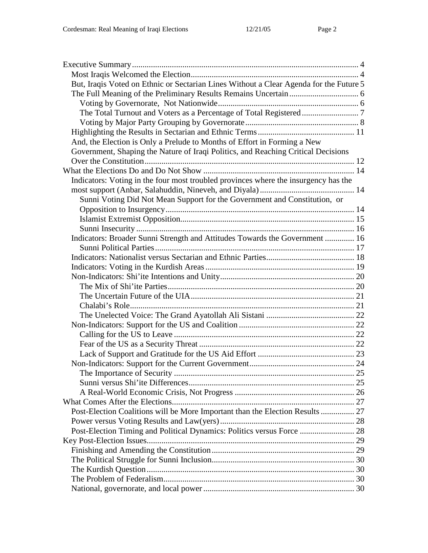| But, Iraqis Voted on Ethnic or Sectarian Lines Without a Clear Agenda for the Future 5 |  |
|----------------------------------------------------------------------------------------|--|
|                                                                                        |  |
|                                                                                        |  |
|                                                                                        |  |
|                                                                                        |  |
|                                                                                        |  |
| And, the Election is Only a Prelude to Months of Effort in Forming a New               |  |
| Government, Shaping the Nature of Iraqi Politics, and Reaching Critical Decisions      |  |
|                                                                                        |  |
|                                                                                        |  |
| Indicators: Voting in the four most troubled provinces where the insurgency has the    |  |
|                                                                                        |  |
| Sunni Voting Did Not Mean Support for the Government and Constitution, or              |  |
|                                                                                        |  |
|                                                                                        |  |
|                                                                                        |  |
| Indicators: Broader Sunni Strength and Attitudes Towards the Government  16            |  |
|                                                                                        |  |
|                                                                                        |  |
|                                                                                        |  |
|                                                                                        |  |
|                                                                                        |  |
|                                                                                        |  |
|                                                                                        |  |
|                                                                                        |  |
|                                                                                        |  |
|                                                                                        |  |
|                                                                                        |  |
|                                                                                        |  |
|                                                                                        |  |
|                                                                                        |  |
|                                                                                        |  |
|                                                                                        |  |
|                                                                                        |  |
| Post-Election Coalitions will be More Important than the Election Results  27          |  |
|                                                                                        |  |
|                                                                                        |  |
|                                                                                        |  |
|                                                                                        |  |
|                                                                                        |  |
|                                                                                        |  |
|                                                                                        |  |
|                                                                                        |  |
|                                                                                        |  |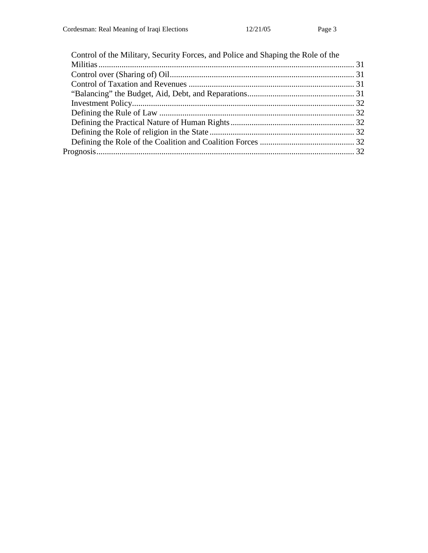| Control of the Military, Security Forces, and Police and Shaping the Role of the |  |
|----------------------------------------------------------------------------------|--|
|                                                                                  |  |
|                                                                                  |  |
|                                                                                  |  |
|                                                                                  |  |
|                                                                                  |  |
|                                                                                  |  |
|                                                                                  |  |
|                                                                                  |  |
|                                                                                  |  |
|                                                                                  |  |
|                                                                                  |  |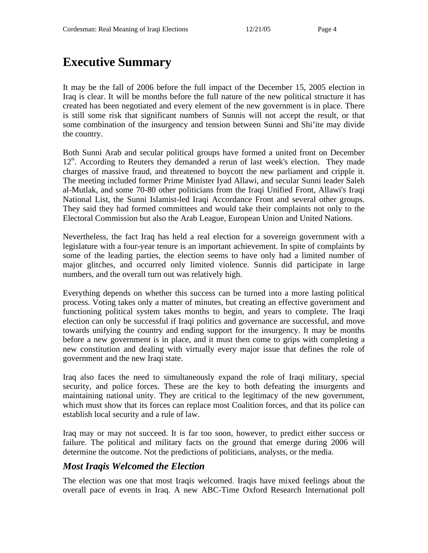# **Executive Summary**

It may be the fall of 2006 before the full impact of the December 15, 2005 election in Iraq is clear. It will be months before the full nature of the new political structure it has created has been negotiated and every element of the new government is in place. There is still some risk that significant numbers of Sunnis will not accept the result, or that some combination of the insurgency and tension between Sunni and Shi'ite may divide the country.

Both Sunni Arab and secular political groups have formed a united front on December 12<sup>th</sup>. According to Reuters they demanded a rerun of last week's election. They made charges of massive fraud, and threatened to boycott the new parliament and cripple it. The meeting included former Prime Minister Iyad Allawi, and secular Sunni leader Saleh al-Mutlak, and some 70-80 other politicians from the Iraqi Unified Front, Allawi's Iraqi National List, the Sunni Islamist-led Iraqi Accordance Front and several other groups. They said they had formed committees and would take their complaints not only to the Electoral Commission but also the Arab League, European Union and United Nations.

Nevertheless, the fact Iraq has held a real election for a sovereign government with a legislature with a four-year tenure is an important achievement. In spite of complaints by some of the leading parties, the election seems to have only had a limited number of major glitches, and occurred only limited violence. Sunnis did participate in large numbers, and the overall turn out was relatively high.

Everything depends on whether this success can be turned into a more lasting political process. Voting takes only a matter of minutes, but creating an effective government and functioning political system takes months to begin, and years to complete. The Iraqi election can only be successful if Iraqi politics and governance are successful, and move towards unifying the country and ending support for the insurgency. It may be months before a new government is in place, and it must then come to grips with completing a new constitution and dealing with virtually every major issue that defines the role of government and the new Iraqi state.

Iraq also faces the need to simultaneously expand the role of Iraqi military, special security, and police forces. These are the key to both defeating the insurgents and maintaining national unity. They are critical to the legitimacy of the new government, which must show that its forces can replace most Coalition forces, and that its police can establish local security and a rule of law.

Iraq may or may not succeed. It is far too soon, however, to predict either success or failure. The political and military facts on the ground that emerge during 2006 will determine the outcome. Not the predictions of politicians, analysts, or the media.

# *Most Iraqis Welcomed the Election*

The election was one that most Iraqis welcomed. Iraqis have mixed feelings about the overall pace of events in Iraq. A new ABC-Time Oxford Research International poll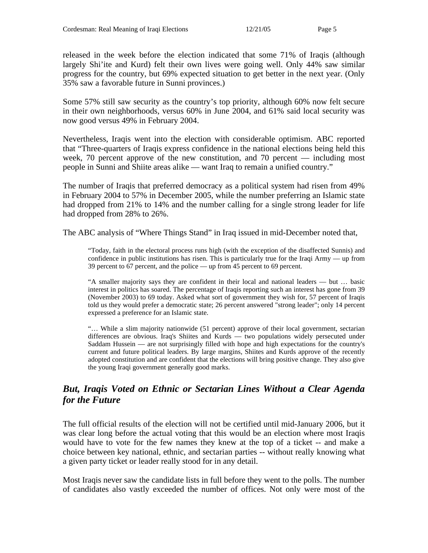released in the week before the election indicated that some 71% of Iraqis (although largely Shi'ite and Kurd) felt their own lives were going well. Only 44% saw similar progress for the country, but 69% expected situation to get better in the next year. (Only 35% saw a favorable future in Sunni provinces.)

Some 57% still saw security as the country's top priority, although 60% now felt secure in their own neighborhoods, versus 60% in June 2004, and 61% said local security was now good versus 49% in February 2004.

Nevertheless, Iraqis went into the election with considerable optimism. ABC reported that "Three-quarters of Iraqis express confidence in the national elections being held this week, 70 percent approve of the new constitution, and 70 percent — including most people in Sunni and Shiite areas alike — want Iraq to remain a unified country."

The number of Iraqis that preferred democracy as a political system had risen from 49% in February 2004 to 57% in December 2005, while the number preferring an Islamic state had dropped from 21% to 14% and the number calling for a single strong leader for life had dropped from 28% to 26%.

The ABC analysis of "Where Things Stand" in Iraq issued in mid-December noted that,

"Today, faith in the electoral process runs high (with the exception of the disaffected Sunnis) and confidence in public institutions has risen. This is particularly true for the Iraqi Army — up from 39 percent to 67 percent, and the police — up from 45 percent to 69 percent.

"A smaller majority says they are confident in their local and national leaders — but … basic interest in politics has soared. The percentage of Iraqis reporting such an interest has gone from 39 (November 2003) to 69 today. Asked what sort of government they wish for, 57 percent of Iraqis told us they would prefer a democratic state; 26 percent answered "strong leader"; only 14 percent expressed a preference for an Islamic state.

"… While a slim majority nationwide (51 percent) approve of their local government, sectarian differences are obvious. Iraq's Shiites and Kurds — two populations widely persecuted under Saddam Hussein — are not surprisingly filled with hope and high expectations for the country's current and future political leaders. By large margins, Shiites and Kurds approve of the recently adopted constitution and are confident that the elections will bring positive change. They also give the young Iraqi government generally good marks.

# *But, Iraqis Voted on Ethnic or Sectarian Lines Without a Clear Agenda for the Future*

The full official results of the election will not be certified until mid-January 2006, but it was clear long before the actual voting that this would be an election where most Iraqis would have to vote for the few names they knew at the top of a ticket -- and make a choice between key national, ethnic, and sectarian parties -- without really knowing what a given party ticket or leader really stood for in any detail.

Most Iraqis never saw the candidate lists in full before they went to the polls. The number of candidates also vastly exceeded the number of offices. Not only were most of the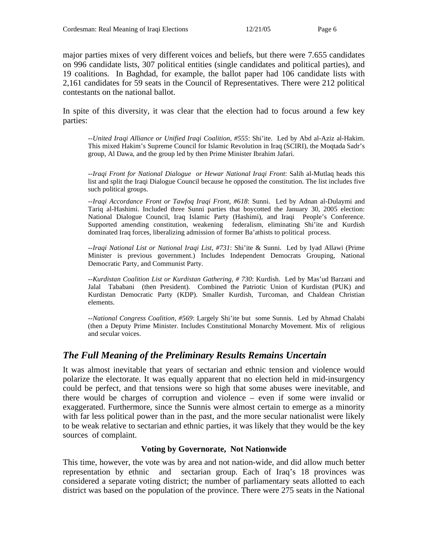major parties mixes of very different voices and beliefs, but there were 7.655 candidates on 996 candidate lists, 307 political entities (single candidates and political parties), and 19 coalitions. In Baghdad, for example, the ballot paper had 106 candidate lists with 2,161 candidates for 59 seats in the Council of Representatives. There were 212 political contestants on the national ballot.

In spite of this diversity, it was clear that the election had to focus around a few key parties:

--*United Iraqi Alliance or Unified Iraqi Coalition, #555*: Shi'ite. Led by Abd al-Aziz al-Hakim. This mixed Hakim's Supreme Council for Islamic Revolution in Iraq (SCIRI), the Moqtada Sadr's group, Al Dawa, and the group led by then Prime Minister Ibrahim Jafari.

--*Iraqi Front for National Dialogue or Hewar National Iraqi Front*: Salih al-Mutlaq heads this list and split the Iraqi Dialogue Council because he opposed the constitution. The list includes five such political groups.

--*Iraqi Accordance Front or Tawfoq Iraqi Front, #618*: Sunni. Led by Adnan al-Dulaymi and Tariq al-Hashimi. Included three Sunni parties that boycotted the January 30, 2005 election: National Dialogue Council, Iraq Islamic Party (Hashimi), and Iraqi People's Conference. Supported amending constitution, weakening federalism, eliminating Shi'ite and Kurdish dominated Iraq forces, liberalizing admission of former Ba'athists to political process.

--*Iraqi National List or National Iraqi List, #731*: Shi'ite & Sunni. Led by Iyad Allawi (Prime Minister is previous government.) Includes Independent Democrats Grouping, National Democratic Party, and Communist Party.

--*Kurdistan Coalition List or Kurdistan Gathering, # 730*: Kurdish. Led by Mas'ud Barzani and Jalal Tababani (then President). Combined the Patriotic Union of Kurdistan (PUK) and Kurdistan Democratic Party (KDP). Smaller Kurdish, Turcoman, and Chaldean Christian elements.

--*National Congress Coalition, #569*: Largely Shi'ite but some Sunnis. Led by Ahmad Chalabi (then a Deputy Prime Minister. Includes Constitutional Monarchy Movement. Mix of religious and secular voices.

# *The Full Meaning of the Preliminary Results Remains Uncertain*

It was almost inevitable that years of sectarian and ethnic tension and violence would polarize the electorate. It was equally apparent that no election held in mid-insurgency could be perfect, and that tensions were so high that some abuses were inevitable, and there would be charges of corruption and violence – even if some were invalid or exaggerated. Furthermore, since the Sunnis were almost certain to emerge as a minority with far less political power than in the past, and the more secular nationalist were likely to be weak relative to sectarian and ethnic parties, it was likely that they would be the key sources of complaint.

#### **Voting by Governorate, Not Nationwide**

This time, however, the vote was by area and not nation-wide, and did allow much better representation by ethnic and sectarian group. Each of Iraq's 18 provinces was considered a separate voting district; the number of parliamentary seats allotted to each district was based on the population of the province. There were 275 seats in the National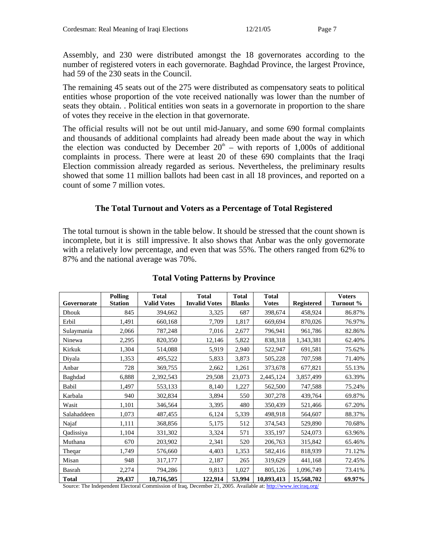Assembly, and 230 were distributed amongst the 18 governorates according to the number of registered voters in each governorate. Baghdad Province, the largest Province, had 59 of the 230 seats in the Council.

The remaining 45 seats out of the 275 were distributed as compensatory seats to political entities whose proportion of the vote received nationally was lower than the number of seats they obtain. . Political entities won seats in a governorate in proportion to the share of votes they receive in the election in that governorate.

The official results will not be out until mid-January, and some 690 formal complaints and thousands of additional complaints had already been made about the way in which the election was conducted by December  $20<sup>th</sup>$  – with reports of 1,000s of additional complaints in process. There were at least 20 of these 690 complaints that the Iraqi Election commission already regarded as serious. Nevertheless, the preliminary results showed that some 11 million ballots had been cast in all 18 provinces, and reported on a count of some 7 million votes.

#### **The Total Turnout and Voters as a Percentage of Total Registered**

The total turnout is shown in the table below. It should be stressed that the count shown is incomplete, but it is still impressive. It also shows that Anbar was the only governorate with a relatively low percentage, and even that was 55%. The others ranged from 62% to 87% and the national average was 70%.

|              | <b>Polling</b> | <b>Total</b>       | <b>Total</b>         | <b>Total</b>  | <b>Total</b> |                   | <b>Voters</b> |
|--------------|----------------|--------------------|----------------------|---------------|--------------|-------------------|---------------|
| Governorate  | <b>Station</b> | <b>Valid Votes</b> | <b>Invalid Votes</b> | <b>Blanks</b> | <b>Votes</b> | <b>Registered</b> | Turnout %     |
| Dhouk        | 845            | 394,662            | 3,325                | 687           | 398,674      | 458,924           | 86.87%        |
| Erbil        | 1,491          | 660,168            | 7,709                | 1,817         | 669,694      | 870,026           | 76.97%        |
| Sulaymania   | 2,066          | 787,248            | 7,016                | 2,677         | 796,941      | 961,786           | 82.86%        |
| Ninewa       | 2,295          | 820,350            | 12,146               | 5,822         | 838,318      | 1,343,381         | 62.40%        |
| Kirkuk       | 1,304          | 514,088            | 5,919                | 2,940         | 522,947      | 691,581           | 75.62%        |
| Diyala       | 1,353          | 495,522            | 5,833                | 3,873         | 505,228      | 707,598           | 71.40%        |
| Anbar        | 728            | 369,755            | 2,662                | 1,261         | 373,678      | 677,821           | 55.13%        |
| Baghdad      | 6,888          | 2,392,543          | 29,508               | 23,073        | 2,445,124    | 3,857,499         | 63.39%        |
| Babil        | 1,497          | 553,133            | 8,140                | 1,227         | 562,500      | 747,588           | 75.24%        |
| Karbala      | 940            | 302,834            | 3,894                | 550           | 307,278      | 439,764           | 69.87%        |
| Wasit        | 1,101          | 346,564            | 3,395                | 480           | 350,439      | 521,466           | 67.20%        |
| Salahaddeen  | 1,073          | 487,455            | 6,124                | 5,339         | 498,918      | 564,607           | 88.37%        |
| Najaf        | 1,111          | 368,856            | 5,175                | 512           | 374,543      | 529,890           | 70.68%        |
| Qadissiya    | 1,104          | 331,302            | 3,324                | 571           | 335,197      | 524,073           | 63.96%        |
| Muthana      | 670            | 203,902            | 2,341                | 520           | 206,763      | 315,842           | 65.46%        |
| Theqar       | 1,749          | 576,660            | 4,403                | 1,353         | 582,416      | 818,939           | 71.12%        |
| Misan        | 948            | 317,177            | 2,187                | 265           | 319,629      | 441,168           | 72.45%        |
| Basrah       | 2,274          | 794,286            | 9,813                | 1,027         | 805,126      | 1,096,749         | 73.41%        |
| <b>Total</b> | 29,437         | 10,716,505         | 122,914              | 53,994        | 10,893,413   | 15,568,702        | 69.97%        |

#### **Total Voting Patterns by Province**

Source: The Independent Electoral Commission of Iraq, December 21, 2005. Available at: http://www.ieciraq.org/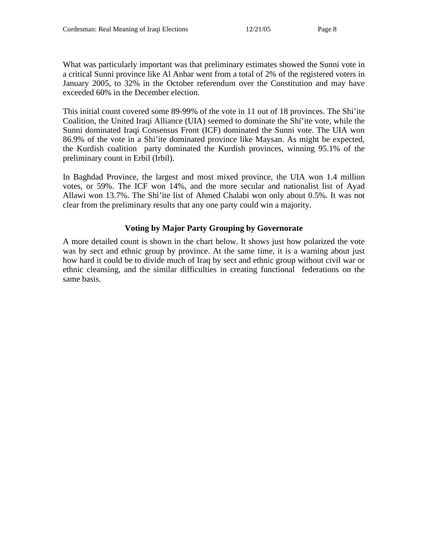What was particularly important was that preliminary estimates showed the Sunni vote in a critical Sunni province like Al Anbar went from a total of 2% of the registered voters in January 2005, to 32% in the October referendum over the Constitution and may have exceeded 60% in the December election.

This initial count covered some 89-99% of the vote in 11 out of 18 provinces. The Shi'ite Coalition, the United Iraqi Alliance (UIA) seemed to dominate the Shi'ite vote, while the Sunni dominated Iraqi Consensus Front (ICF) dominated the Sunni vote. The UIA won 86.9% of the vote in a Shi'ite dominated province like Maysan. As might be expected, the Kurdish coalition party dominated the Kurdish provinces, winning 95.1% of the preliminary count in Erbil (Irbil).

In Baghdad Province, the largest and most mixed province, the UIA won 1.4 million votes, or 59%. The ICF won 14%, and the more secular and nationalist list of Ayad Allawi won 13.7%. The Shi'ite list of Ahmed Chalabi won only about 0.5%. It was not clear from the preliminary results that any one party could win a majority.

#### **Voting by Major Party Grouping by Governorate**

A more detailed count is shown in the chart below. It shows just how polarized the vote was by sect and ethnic group by province. At the same time, it is a warning about just how hard it could be to divide much of Iraq by sect and ethnic group without civil war or ethnic cleansing, and the similar difficulties in creating functional federations on the same basis.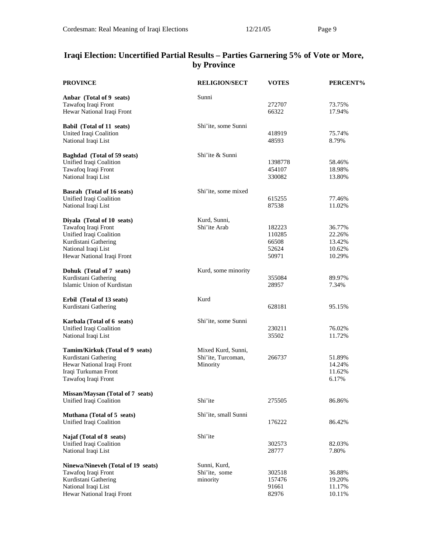# **Iraqi Election: Uncertified Partial Results – Parties Garnering 5% of Vote or More, by Province**

| <b>PROVINCE</b>                    | <b>RELIGION/SECT</b> | <b>VOTES</b> | PERCENT% |
|------------------------------------|----------------------|--------------|----------|
| Anbar (Total of 9 seats)           | Sunni                |              |          |
| Tawafoq Iraqi Front                |                      | 272707       | 73.75%   |
| Hewar National Iraqi Front         |                      | 66322        | 17.94%   |
| Babil (Total of 11 seats)          | Shi'ite, some Sunni  |              |          |
| United Iraqi Coalition             |                      | 418919       | 75.74%   |
| National Iraqi List                |                      | 48593        | 8.79%    |
| <b>Baghdad</b> (Total of 59 seats) | Shi'ite & Sunni      |              |          |
| Unified Iraqi Coalition            |                      | 1398778      | 58.46%   |
| Tawafoq Iraqi Front                |                      | 454107       | 18.98%   |
| National Iraqi List                |                      | 330082       | 13.80%   |
| <b>Basrah</b> (Total of 16 seats)  | Shi'ite, some mixed  |              |          |
| Unified Iraqi Coalition            |                      | 615255       | 77.46%   |
| National Iraqi List                |                      | 87538        | 11.02%   |
| Diyala (Total of 10 seats)         | Kurd, Sunni,         |              |          |
| Tawafoq Iraqi Front                | Shi'ite Arab         | 182223       | 36.77%   |
| Unified Iraqi Coalition            |                      | 110285       | 22.26%   |
| Kurdistani Gathering               |                      | 66508        | 13.42%   |
| National Iraqi List                |                      | 52624        | 10.62%   |
| Hewar National Iraqi Front         |                      | 50971        | 10.29%   |
| Dohuk (Total of 7 seats)           | Kurd, some minority  |              |          |
| Kurdistani Gathering               |                      | 355084       | 89.97%   |
| Islamic Union of Kurdistan         |                      | 28957        | 7.34%    |
| Erbil (Total of 13 seats)          | Kurd                 |              |          |
| Kurdistani Gathering               |                      | 628181       | 95.15%   |
| Karbala (Total of 6 seats)         | Shi'ite, some Sunni  |              |          |
| Unified Iraqi Coalition            |                      | 230211       | 76.02%   |
| National Iraqi List                |                      | 35502        | 11.72%   |
| Tamim/Kirkuk (Total of 9 seats)    | Mixed Kurd, Sunni,   |              |          |
| Kurdistani Gathering               | Shi'ite, Turcoman,   | 266737       | 51.89%   |
| Hewar National Iraqi Front         | Minority             |              | 14.24%   |
| Iraqi Turkuman Front               |                      |              | 11.62%   |
| Tawafoq Iraqi Front                |                      |              | 6.17%    |
| Missan/Maysan (Total of 7 seats)   |                      |              |          |
| Unified Iraqi Coalition            | Shi'ite              | 275505       | 86.86%   |
| Muthana (Total of 5 seats)         | Shi'ite, small Sunni |              |          |
| Unified Iraqi Coalition            |                      | 176222       | 86.42%   |
| Najaf (Total of 8 seats)           | Shi'ite              |              |          |
| Unified Iraqi Coalition            |                      | 302573       | 82.03%   |
| National Iraqi List                |                      | 28777        | 7.80%    |
| Ninewa/Nineveh (Total of 19 seats) | Sunni, Kurd,         |              |          |
| Tawafoq Iraqi Front                | Shi'ite, some        | 302518       | 36.88%   |
| Kurdistani Gathering               | minority             | 157476       | 19.20%   |
| National Iraqi List                |                      | 91661        | 11.17%   |
| Hewar National Iraqi Front         |                      | 82976        | 10.11%   |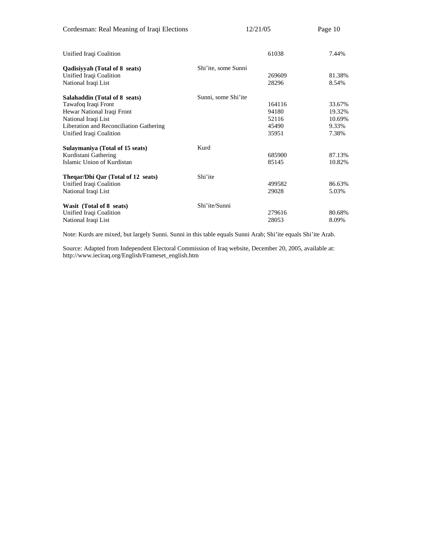| Cordesman: Real Meaning of Iraqi Elections | 12/21/05            |        | Page 10 |  |
|--------------------------------------------|---------------------|--------|---------|--|
| Unified Iraqi Coalition                    |                     | 61038  | 7.44%   |  |
| <b>Qadisiyyah (Total of 8 seats)</b>       | Shi'ite, some Sunni |        |         |  |
| Unified Iraqi Coalition                    |                     | 269609 | 81.38%  |  |
| National Iraqi List                        |                     | 28296  | 8.54%   |  |
| Salahaddin (Total of 8 seats)              | Sunni, some Shi'ite |        |         |  |
| Tawafoq Iraqi Front                        |                     | 164116 | 33.67%  |  |
| Hewar National Iraqi Front                 |                     | 94180  | 19.32%  |  |
| National Iraqi List                        |                     | 52116  | 10.69%  |  |
| Liberation and Reconciliation Gathering    |                     | 45490  | 9.33%   |  |
| Unified Iraqi Coalition                    |                     | 35951  | 7.38%   |  |
| Sulaymaniya (Total of 15 seats)            | Kurd                |        |         |  |
| Kurdistani Gathering                       |                     | 685900 | 87.13%  |  |
| Islamic Union of Kurdistan                 |                     | 85145  | 10.82%  |  |
| Thegar/Dhi Qar (Total of 12 seats)         | Shi'ite             |        |         |  |
| Unified Iraqi Coalition                    |                     | 499582 | 86.63%  |  |
| National Iraqi List                        |                     | 29028  | 5.03%   |  |
| Wasit (Total of 8 seats)                   | Shi'ite/Sunni       |        |         |  |
| Unified Iraqi Coalition                    |                     | 279616 | 80.68%  |  |
| National Iraqi List                        |                     | 28053  | 8.09%   |  |

Note: Kurds are mixed, but largely Sunni. Sunni in this table equals Sunni Arab; Shi'ite equals Shi'ite Arab.

Source: Adapted from Independent Electoral Commission of Iraq website, December 20, 2005, available at: http://www.ieciraq.org/English/Frameset\_english.htm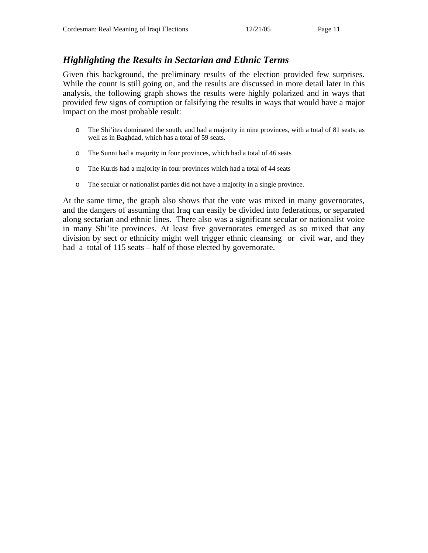# *Highlighting the Results in Sectarian and Ethnic Terms*

Given this background, the preliminary results of the election provided few surprises. While the count is still going on, and the results are discussed in more detail later in this analysis, the following graph shows the results were highly polarized and in ways that provided few signs of corruption or falsifying the results in ways that would have a major impact on the most probable result:

- o The Shi'ites dominated the south, and had a majority in nine provinces, with a total of 81 seats, as well as in Baghdad, which has a total of 59 seats.
- o The Sunni had a majority in four provinces, which had a total of 46 seats
- o The Kurds had a majority in four provinces which had a total of 44 seats
- o The secular or nationalist parties did not have a majority in a single province.

At the same time, the graph also shows that the vote was mixed in many governorates, and the dangers of assuming that Iraq can easily be divided into federations, or separated along sectarian and ethnic lines. There also was a significant secular or nationalist voice in many Shi'ite provinces. At least five governorates emerged as so mixed that any division by sect or ethnicity might well trigger ethnic cleansing or civil war, and they had a total of 115 seats – half of those elected by governorate.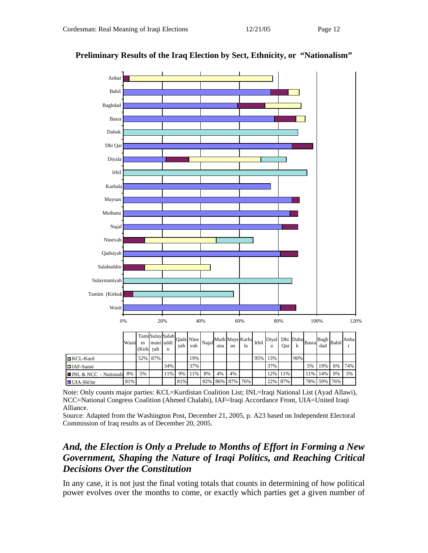

# **Preliminary Results of the Iraq Election by Sect, Ethnicity, or "Nationalism"**

Note: Only counts major parties: KCL=Kurdistan Coalition List; INL=Iraqi National List (Ayad Allawi), NCC=National Congress Coalition (Ahmed Chalabi), IAF=Iraqi Accordance Front, UIA=United Iraqi Alliance.

Source: Adapted from the Washington Post, December 21, 2005, p. A23 based on Independent Electoral Commission of Iraq results as of December 20, 2005.

# *And, the Election is Only a Prelude to Months of Effort in Forming a New Government, Shaping the Nature of Iraqi Politics, and Reaching Critical Decisions Over the Constitution*

In any case, it is not just the final voting totals that counts in determining of how political power evolves over the months to come, or exactly which parties get a given number of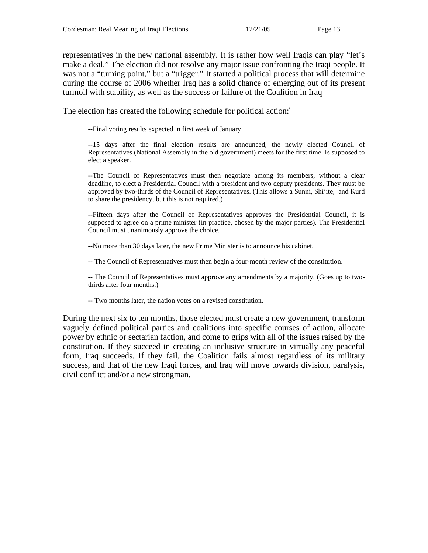representatives in the new national assembly. It is rather how well Iraqis can play "let's make a deal." The election did not resolve any major issue confronting the Iraqi people. It was not a "turning point," but a "trigger." It started a political process that will determine during the course of 2006 whether Iraq has a solid chance of emerging out of its present turmoil with stability, as well as the success or failure of the Coalition in Iraq

The election has created the following schedule for political action:

--Final voting results expected in first week of January

--15 days after the final election results are announced, the newly elected Council of Representatives (National Assembly in the old government) meets for the first time. Is supposed to elect a speaker.

--The Council of Representatives must then negotiate among its members, without a clear deadline, to elect a Presidential Council with a president and two deputy presidents. They must be approved by two-thirds of the Council of Representatives. (This allows a Sunni, Shi'ite, and Kurd to share the presidency, but this is not required.)

--Fifteen days after the Council of Representatives approves the Presidential Council, it is supposed to agree on a prime minister (in practice, chosen by the major parties). The Presidential Council must unanimously approve the choice.

--No more than 30 days later, the new Prime Minister is to announce his cabinet.

-- The Council of Representatives must then begin a four-month review of the constitution.

-- The Council of Representatives must approve any amendments by a majority. (Goes up to twothirds after four months.)

-- Two months later, the nation votes on a revised constitution.

During the next six to ten months, those elected must create a new government, transform vaguely defined political parties and coalitions into specific courses of action, allocate power by ethnic or sectarian faction, and come to grips with all of the issues raised by the constitution. If they succeed in creating an inclusive structure in virtually any peaceful form, Iraq succeeds. If they fail, the Coalition fails almost regardless of its military success, and that of the new Iraqi forces, and Iraq will move towards division, paralysis, civil conflict and/or a new strongman.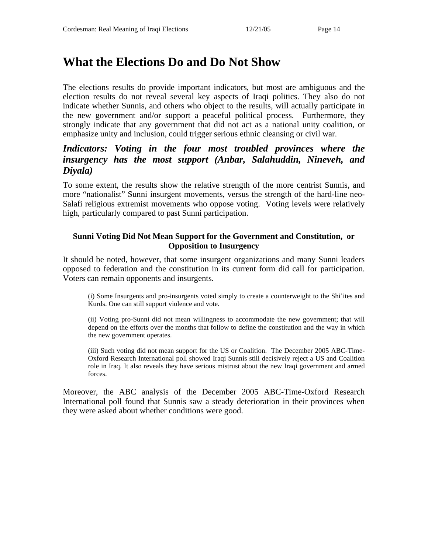# **What the Elections Do and Do Not Show**

The elections results do provide important indicators, but most are ambiguous and the election results do not reveal several key aspects of Iraqi politics. They also do not indicate whether Sunnis, and others who object to the results, will actually participate in the new government and/or support a peaceful political process. Furthermore, they strongly indicate that any government that did not act as a national unity coalition, or emphasize unity and inclusion, could trigger serious ethnic cleansing or civil war.

# *Indicators: Voting in the four most troubled provinces where the insurgency has the most support (Anbar, Salahuddin, Nineveh, and Diyala)*

To some extent, the results show the relative strength of the more centrist Sunnis, and more "nationalist" Sunni insurgent movements, versus the strength of the hard-line neo-Salafi religious extremist movements who oppose voting. Voting levels were relatively high, particularly compared to past Sunni participation.

#### **Sunni Voting Did Not Mean Support for the Government and Constitution, or Opposition to Insurgency**

It should be noted, however, that some insurgent organizations and many Sunni leaders opposed to federation and the constitution in its current form did call for participation. Voters can remain opponents and insurgents.

(i) Some Insurgents and pro-insurgents voted simply to create a counterweight to the Shi'ites and Kurds. One can still support violence and vote.

(ii) Voting pro-Sunni did not mean willingness to accommodate the new government; that will depend on the efforts over the months that follow to define the constitution and the way in which the new government operates.

(iii) Such voting did not mean support for the US or Coalition. The December 2005 ABC-Time-Oxford Research International poll showed Iraqi Sunnis still decisively reject a US and Coalition role in Iraq. It also reveals they have serious mistrust about the new Iraqi government and armed forces.

Moreover, the ABC analysis of the December 2005 ABC-Time-Oxford Research International poll found that Sunnis saw a steady deterioration in their provinces when they were asked about whether conditions were good.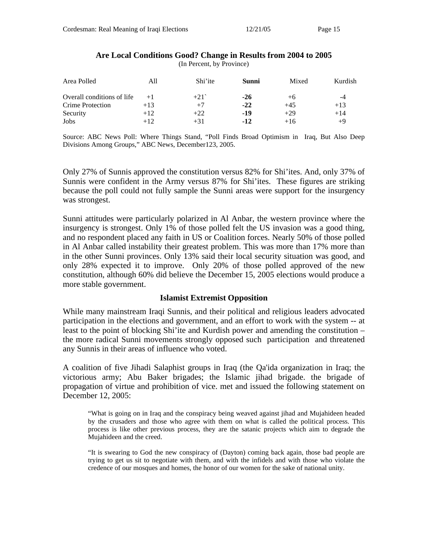#### **Are Local Conditions Good? Change in Results from 2004 to 2005**

(In Percent, by Province)

| Area Polled                | All    | Shi'ite | Sunni | Mixed | Kurdish |
|----------------------------|--------|---------|-------|-------|---------|
| Overall conditions of life | $+1$   | $+21$   | $-26$ | $+6$  | -4      |
| Crime Protection           | $+13$  | $+7$    | $-22$ | $+45$ | $+13$   |
| Security                   | $+12$  | $+22$   | -19   | $+29$ | $+14$   |
| Jobs                       | $+12.$ | $+31$   | $-12$ | $+16$ | +9      |

Source: ABC News Poll: Where Things Stand, "Poll Finds Broad Optimism in Iraq, But Also Deep Divisions Among Groups," ABC News, December123, 2005.

Only 27% of Sunnis approved the constitution versus 82% for Shi'ites. And, only 37% of Sunnis were confident in the Army versus 87% for Shi'ites. These figures are striking because the poll could not fully sample the Sunni areas were support for the insurgency was strongest.

Sunni attitudes were particularly polarized in Al Anbar, the western province where the insurgency is strongest. Only 1% of those polled felt the US invasion was a good thing, and no respondent placed any faith in US or Coalition forces. Nearly 50% of those polled in Al Anbar called instability their greatest problem. This was more than 17% more than in the other Sunni provinces. Only 13% said their local security situation was good, and only 28% expected it to improve. Only 20% of those polled approved of the new constitution, although 60% did believe the December 15, 2005 elections would produce a more stable government.

#### **Islamist Extremist Opposition**

While many mainstream Iraqi Sunnis, and their political and religious leaders advocated participation in the elections and government, and an effort to work with the system -- at least to the point of blocking Shi'ite and Kurdish power and amending the constitution – the more radical Sunni movements strongly opposed such participation and threatened any Sunnis in their areas of influence who voted.

A coalition of five Jihadi Salaphist groups in Iraq (the Qa'ida organization in Iraq; the victorious army; Abu Baker brigades; the Islamic jihad brigade. the brigade of propagation of virtue and prohibition of vice. met and issued the following statement on December 12, 2005:

"What is going on in Iraq and the conspiracy being weaved against jihad and Mujahideen headed by the crusaders and those who agree with them on what is called the political process. This process is like other previous process, they are the satanic projects which aim to degrade the Mujahideen and the creed.

"It is swearing to God the new conspiracy of (Dayton) coming back again, those bad people are trying to get us sit to negotiate with them, and with the infidels and with those who violate the credence of our mosques and homes, the honor of our women for the sake of national unity.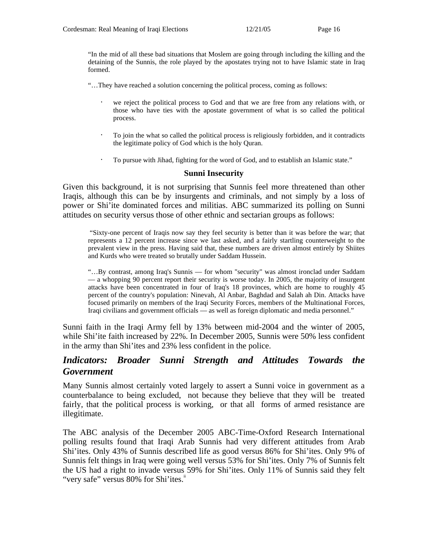"In the mid of all these bad situations that Moslem are going through including the killing and the detaining of the Sunnis, the role played by the apostates trying not to have Islamic state in Iraq formed.

- "…They have reached a solution concerning the political process, coming as follows:
	- we reject the political process to God and that we are free from any relations with, or those who have ties with the apostate government of what is so called the political process.
	- · To join the what so called the political process is religiously forbidden, and it contradicts the legitimate policy of God which is the holy Quran.
	- · To pursue with Jihad, fighting for the word of God, and to establish an Islamic state."

#### **Sunni Insecurity**

Given this background, it is not surprising that Sunnis feel more threatened than other Iraqis, although this can be by insurgents and criminals, and not simply by a loss of power or Shi'ite dominated forces and militias. ABC summarized its polling on Sunni attitudes on security versus those of other ethnic and sectarian groups as follows:

"Sixty-one percent of Iraqis now say they feel security is better than it was before the war; that represents a 12 percent increase since we last asked, and a fairly startling counterweight to the prevalent view in the press. Having said that, these numbers are driven almost entirely by Shiites and Kurds who were treated so brutally under Saddam Hussein.

"…By contrast, among Iraq's Sunnis — for whom "security" was almost ironclad under Saddam — a whopping 90 percent report their security is worse today. In 2005, the majority of insurgent attacks have been concentrated in four of Iraq's 18 provinces, which are home to roughly 45 percent of the country's population: Ninevah, Al Anbar, Baghdad and Salah ah Din. Attacks have focused primarily on members of the Iraqi Security Forces, members of the Multinational Forces, Iraqi civilians and government officials — as well as foreign diplomatic and media personnel."

Sunni faith in the Iraqi Army fell by 13% between mid-2004 and the winter of 2005, while Shi'ite faith increased by 22%. In December 2005, Sunnis were 50% less confident in the army than Shi'ites and 23% less confident in the police.

# *Indicators: Broader Sunni Strength and Attitudes Towards the Government*

Many Sunnis almost certainly voted largely to assert a Sunni voice in government as a counterbalance to being excluded, not because they believe that they will be treated fairly, that the political process is working, or that all forms of armed resistance are illegitimate.

The ABC analysis of the December 2005 ABC-Time-Oxford Research International polling results found that Iraqi Arab Sunnis had very different attitudes from Arab Shi'ites. Only 43% of Sunnis described life as good versus 86% for Shi'ites. Only 9% of Sunnis felt things in Iraq were going well versus 53% for Shi'ites. Only 7% of Sunnis felt the US had a right to invade versus 59% for Shi'ites. Only 11% of Sunnis said they felt "very safe" versus 80% for Shi'ites.<sup>"</sup>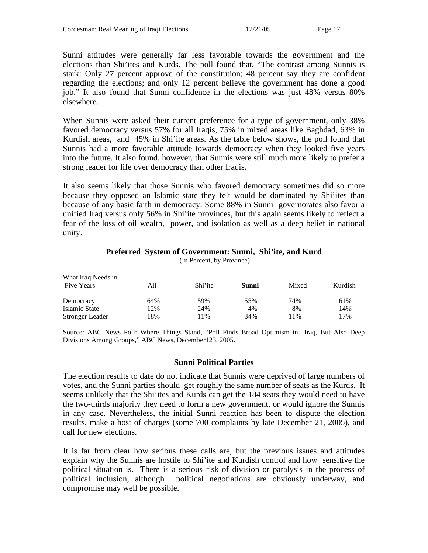Sunni attitudes were generally far less favorable towards the government and the elections than Shi'ites and Kurds. The poll found that, "The contrast among Sunnis is stark: Only 27 percent approve of the constitution; 48 percent say they are confident regarding the elections; and only 12 percent believe the government has done a good job." It also found that Sunni confidence in the elections was just 48% versus 80% elsewhere.

When Sunnis were asked their current preference for a type of government, only 38% favored democracy versus 57% for all Iraqis, 75% in mixed areas like Baghdad, 63% in Kurdish areas, and 45% in Shi'ite areas. As the table below shows, the poll found that Sunnis had a more favorable attitude towards democracy when they looked five years into the future. It also found, however, that Sunnis were still much more likely to prefer a strong leader for life over democracy than other Iraqis.

It also seems likely that those Sunnis who favored democracy sometimes did so more because they opposed an Islamic state they felt would be dominated by Shi'ites than because of any basic faith in democracy. Some 88% in Sunni governorates also favor a unified Iraq versus only 56% in Shi'ite provinces, but this again seems likely to reflect a fear of the loss of oil wealth, power, and isolation as well as a deep belief in national unity.

#### **Preferred System of Government: Sunni, Shi'ite, and Kurd**

(In Percent, by Province)

| What Iraq Needs in     |     |         |       |       |         |
|------------------------|-----|---------|-------|-------|---------|
| <b>Five Years</b>      | All | Shi'ite | Sunni | Mixed | Kurdish |
| Democracy              | 64% | 59%     | 55%   | 74%   | 61%     |
| Islamic State          | 12% | 24%     | 4%    | 8%    | 14%     |
|                        |     |         |       |       |         |
| <b>Stronger Leader</b> | 18% | $1\%$   | 34%   | 11%   | 17%     |

Source: ABC News Poll: Where Things Stand, "Poll Finds Broad Optimism in Iraq, But Also Deep Divisions Among Groups," ABC News, December123, 2005.

#### **Sunni Political Parties**

The election results to date do not indicate that Sunnis were deprived of large numbers of votes, and the Sunni parties should get roughly the same number of seats as the Kurds. It seems unlikely that the Shi'ites and Kurds can get the 184 seats they would need to have the two-thirds majority they need to form a new government, or would ignore the Sunnis in any case. Nevertheless, the initial Sunni reaction has been to dispute the election results, make a host of charges (some 700 complaints by late December 21, 2005), and call for new elections.

It is far from clear how serious these calls are, but the previous issues and attitudes explain why the Sunnis are hostile to Shi'ite and Kurdish control and how sensitive the political situation is. There is a serious risk of division or paralysis in the process of political inclusion, although political negotiations are obviously underway, and compromise may well be possible.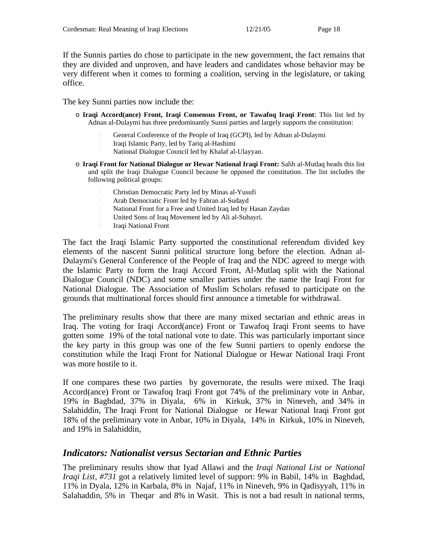If the Sunnis parties do chose to participate in the new government, the fact remains that they are divided and unproven, and have leaders and candidates whose behavior may be very different when it comes to forming a coalition, serving in the legislature, or taking office.

The key Sunni parties now include the:

- o **Iraqi Accord(ance) Front, Iraqi Consensus Front, or Tawafoq Iraqi Front**: This list led by Adnan al-Dulaymi has three predominantly Sunni parties and largely supports the constitution:
	- General Conference of the People of Iraq (GCPI), led by Adnan al-Dulaymi
	- Iraqi Islamic Party, led by Tariq al-Hashimi
	- National Dialogue Council led by Khalaf al-Ulayyan.
- o **Iraqi Front for National Dialogue or Hewar National Iraqi Front:** Salih al-Mutlaq heads this list and split the Iraqi Dialogue Council because he opposed the constitution. The list includes the following political groups:
	- Christian Democratic Party led by Minas al-Yusufi
	- Arab Democratic Front led by Fahran al-Sudayd
	- National Front for a Free and United Iraq led by Hasan Zaydan<br>United Sons of Iraq Movement led by Ali al-Suhavri
	- United Sons of Iraq Movement led by Ali al-Suhayri.
	- Iraqi National Front

The fact the Iraqi Islamic Party supported the constitutional referendum divided key elements of the nascent Sunni political structure long before the election. Adnan al-Dulaymi's General Conference of the People of Iraq and the NDC agreed to merge with the Islamic Party to form the Iraqi Accord Front, Al-Mutlaq split with the National Dialogue Council (NDC) and some smaller parties under the name the Iraqi Front for National Dialogue. The Association of Muslim Scholars refused to participate on the grounds that multinational forces should first announce a timetable for withdrawal.

The preliminary results show that there are many mixed sectarian and ethnic areas in Iraq. The voting for Iraqi Accord(ance) Front or Tawafoq Iraqi Front seems to have gotten some 19% of the total national vote to date. This was particularly important since the key party in this group was one of the few Sunni partiers to openly endorse the constitution while the Iraqi Front for National Dialogue or Hewar National Iraqi Front was more hostile to it.

If one compares these two parties by governorate, the results were mixed. The Iraqi Accord(ance) Front or Tawafoq Iraqi Front got 74% of the preliminary vote in Anbar, 19% in Baghdad, 37% in Diyala, 6% in Kirkuk, 37% in Nineveh, and 34% in Salahiddin, The Iraqi Front for National Dialogue or Hewar National Iraqi Front got 18% of the preliminary vote in Anbar, 10% in Diyala, 14% in Kirkuk, 10% in Nineveh, and 19% in Salahiddin,

#### *Indicators: Nationalist versus Sectarian and Ethnic Parties*

The preliminary results show that Iyad Allawi and the *Iraqi National List or National Iraqi List, #731* got a relatively limited level of support: 9% in Babil, 14% in Baghdad, 11% in Dyala, 12% in Karbala, 8% in Najaf, 11% in Nineveh, 9% in Qadisyyah, 11% in Salahaddin, 5% in Theqar and 8% in Wasit. This is not a bad result in national terms,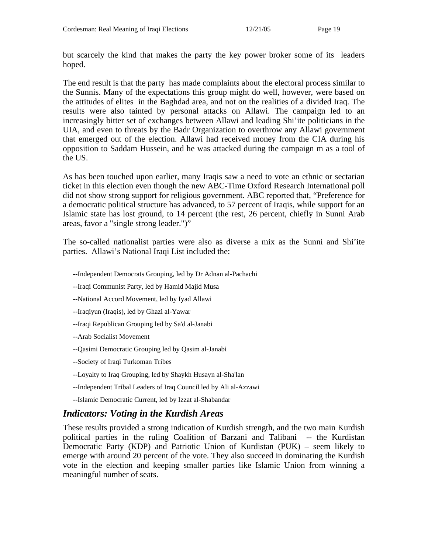but scarcely the kind that makes the party the key power broker some of its leaders hoped.

The end result is that the party has made complaints about the electoral process similar to the Sunnis. Many of the expectations this group might do well, however, were based on the attitudes of elites in the Baghdad area, and not on the realities of a divided Iraq. The results were also tainted by personal attacks on Allawi. The campaign led to an increasingly bitter set of exchanges between Allawi and leading Shi'ite politicians in the UIA, and even to threats by the Badr Organization to overthrow any Allawi government that emerged out of the election. Allawi had received money from the CIA during his opposition to Saddam Hussein, and he was attacked during the campaign m as a tool of the US.

As has been touched upon earlier, many Iraqis saw a need to vote an ethnic or sectarian ticket in this election even though the new ABC-Time Oxford Research International poll did not show strong support for religious government. ABC reported that, "Preference for a democratic political structure has advanced, to 57 percent of Iraqis, while support for an Islamic state has lost ground, to 14 percent (the rest, 26 percent, chiefly in Sunni Arab areas, favor a "single strong leader.")"

The so-called nationalist parties were also as diverse a mix as the Sunni and Shi'ite parties. Allawi's National Iraqi List included the:

- --Independent Democrats Grouping, led by Dr Adnan al-Pachachi
- --Iraqi Communist Party, led by Hamid Majid Musa
- --National Accord Movement, led by Iyad Allawi
- --Iraqiyun (Iraqis), led by Ghazi al-Yawar
- --Iraqi Republican Grouping led by Sa'd al-Janabi
- --Arab Socialist Movement
- --Qasimi Democratic Grouping led by Qasim al-Janabi
- --Society of Iraqi Turkoman Tribes
- --Loyalty to Iraq Grouping, led by Shaykh Husayn al-Sha'lan
- --Independent Tribal Leaders of Iraq Council led by Ali al-Azzawi
- --Islamic Democratic Current, led by Izzat al-Shabandar

# *Indicators: Voting in the Kurdish Areas*

These results provided a strong indication of Kurdish strength, and the two main Kurdish political parties in the ruling Coalition of Barzani and Talibani -- the Kurdistan Democratic Party (KDP) and Patriotic Union of Kurdistan (PUK) – seem likely to emerge with around 20 percent of the vote. They also succeed in dominating the Kurdish vote in the election and keeping smaller parties like Islamic Union from winning a meaningful number of seats.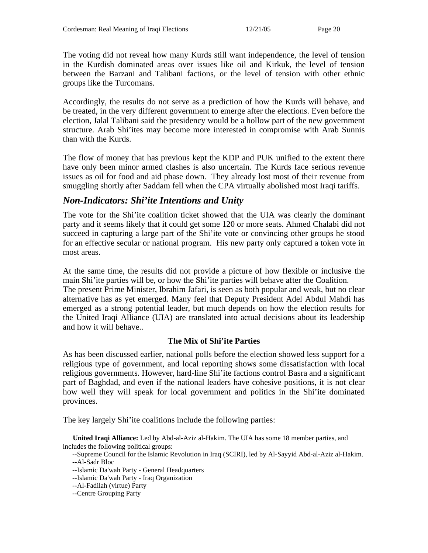The voting did not reveal how many Kurds still want independence, the level of tension in the Kurdish dominated areas over issues like oil and Kirkuk, the level of tension between the Barzani and Talibani factions, or the level of tension with other ethnic groups like the Turcomans.

Accordingly, the results do not serve as a prediction of how the Kurds will behave, and be treated, in the very different government to emerge after the elections. Even before the election, Jalal Talibani said the presidency would be a hollow part of the new government structure. Arab Shi'ites may become more interested in compromise with Arab Sunnis than with the Kurds.

The flow of money that has previous kept the KDP and PUK unified to the extent there have only been minor armed clashes is also uncertain. The Kurds face serious revenue issues as oil for food and aid phase down. They already lost most of their revenue from smuggling shortly after Saddam fell when the CPA virtually abolished most Iraqi tariffs.

# *Non-Indicators: Shi'ite Intentions and Unity*

The vote for the Shi'ite coalition ticket showed that the UIA was clearly the dominant party and it seems likely that it could get some 120 or more seats. Ahmed Chalabi did not succeed in capturing a large part of the Shi'ite vote or convincing other groups he stood for an effective secular or national program. His new party only captured a token vote in most areas.

At the same time, the results did not provide a picture of how flexible or inclusive the main Shi'ite parties will be, or how the Shi'ite parties will behave after the Coalition. The present Prime Minister, Ibrahim Jafari, is seen as both popular and weak, but no clear alternative has as yet emerged. Many feel that Deputy President Adel Abdul Mahdi has emerged as a strong potential leader, but much depends on how the election results for the United Iraqi Alliance (UIA) are translated into actual decisions about its leadership and how it will behave..

#### **The Mix of Shi'ite Parties**

As has been discussed earlier, national polls before the election showed less support for a religious type of government, and local reporting shows some dissatisfaction with local religious governments. However, hard-line Shi'ite factions control Basra and a significant part of Baghdad, and even if the national leaders have cohesive positions, it is not clear how well they will speak for local government and politics in the Shi'ite dominated provinces.

The key largely Shi'ite coalitions include the following parties:

**United Iraqi Alliance:** Led by Abd-al-Aziz al-Hakim. The UIA has some 18 member parties, and includes the following political groups:

--Supreme Council for the Islamic Revolution in Iraq (SCIRI), led by Al-Sayyid Abd-al-Aziz al-Hakim.

--Al-Sadr Bloc

--Islamic Da'wah Party - General Headquarters

--Islamic Da'wah Party - Iraq Organization

--Al-Fadilah (virtue) Party

--Centre Grouping Party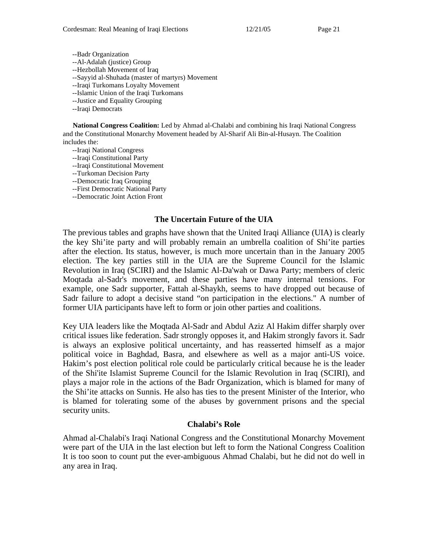--Badr Organization --Al-Adalah (justice) Group --Hezbollah Movement of Iraq

- --Sayyid al-Shuhada (master of martyrs) Movement
- --Iraqi Turkomans Loyalty Movement

--Islamic Union of the Iraqi Turkomans

--Justice and Equality Grouping

--Iraqi Democrats

**National Congress Coalition:** Led by Ahmad al-Chalabi and combining his Iraqi National Congress and the Constitutional Monarchy Movement headed by Al-Sharif Ali Bin-al-Husayn. The Coalition includes the:

--Iraqi National Congress

--Iraqi Constitutional Party

--Iraqi Constitutional Movement

--Turkoman Decision Party

--Democratic Iraq Grouping

--First Democratic National Party

--Democratic Joint Action Front

#### **The Uncertain Future of the UIA**

The previous tables and graphs have shown that the United Iraqi Alliance (UIA) is clearly the key Shi'ite party and will probably remain an umbrella coalition of Shi'ite parties after the election. Its status, however, is much more uncertain than in the January 2005 election. The key parties still in the UIA are the Supreme Council for the Islamic Revolution in Iraq (SCIRI) and the Islamic Al-Da'wah or Dawa Party; members of cleric Moqtada al-Sadr's movement, and these parties have many internal tensions. For example, one Sadr supporter, Fattah al-Shaykh, seems to have dropped out because of Sadr failure to adopt a decisive stand "on participation in the elections." A number of former UIA participants have left to form or join other parties and coalitions.

Key UIA leaders like the Moqtada Al-Sadr and Abdul Aziz Al Hakim differ sharply over critical issues like federation. Sadr strongly opposes it, and Hakim strongly favors it. Sadr is always an explosive political uncertainty, and has reasserted himself as a major political voice in Baghdad, Basra, and elsewhere as well as a major anti-US voice. Hakim's post election political role could be particularly critical because he is the leader of the Shi'ite Islamist Supreme Council for the Islamic Revolution in Iraq (SCIRI), and plays a major role in the actions of the Badr Organization, which is blamed for many of the Shi'ite attacks on Sunnis. He also has ties to the present Minister of the Interior, who is blamed for tolerating some of the abuses by government prisons and the special security units.

#### **Chalabi's Role**

Ahmad al-Chalabi's Iraqi National Congress and the Constitutional Monarchy Movement were part of the UIA in the last election but left to form the National Congress Coalition It is too soon to count put the ever-ambiguous Ahmad Chalabi, but he did not do well in any area in Iraq.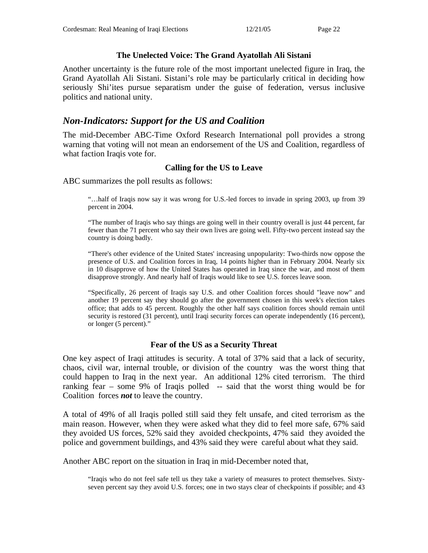#### **The Unelected Voice: The Grand Ayatollah Ali Sistani**

Another uncertainty is the future role of the most important unelected figure in Iraq, the Grand Ayatollah Ali Sistani. Sistani's role may be particularly critical in deciding how seriously Shi'ites pursue separatism under the guise of federation, versus inclusive politics and national unity.

# *Non-Indicators: Support for the US and Coalition*

The mid-December ABC-Time Oxford Research International poll provides a strong warning that voting will not mean an endorsement of the US and Coalition, regardless of what faction Iraqis vote for.

#### **Calling for the US to Leave**

ABC summarizes the poll results as follows:

"…half of Iraqis now say it was wrong for U.S.-led forces to invade in spring 2003, up from 39 percent in 2004.

"The number of Iraqis who say things are going well in their country overall is just 44 percent, far fewer than the 71 percent who say their own lives are going well. Fifty-two percent instead say the country is doing badly.

"There's other evidence of the United States' increasing unpopularity: Two-thirds now oppose the presence of U.S. and Coalition forces in Iraq, 14 points higher than in February 2004. Nearly six in 10 disapprove of how the United States has operated in Iraq since the war, and most of them disapprove strongly. And nearly half of Iraqis would like to see U.S. forces leave soon.

"Specifically, 26 percent of Iraqis say U.S. and other Coalition forces should "leave now" and another 19 percent say they should go after the government chosen in this week's election takes office; that adds to 45 percent. Roughly the other half says coalition forces should remain until security is restored (31 percent), until Iraqi security forces can operate independently (16 percent), or longer (5 percent)."

#### **Fear of the US as a Security Threat**

One key aspect of Iraqi attitudes is security. A total of 37% said that a lack of security, chaos, civil war, internal trouble, or division of the country was the worst thing that could happen to Iraq in the next year. An additional 12% cited terrorism. The third ranking fear – some 9% of Iraqis polled -- said that the worst thing would be for Coalition forces *not* to leave the country.

A total of 49% of all Iraqis polled still said they felt unsafe, and cited terrorism as the main reason. However, when they were asked what they did to feel more safe, 67% said they avoided US forces, 52% said they avoided checkpoints, 47% said they avoided the police and government buildings, and 43% said they were careful about what they said.

Another ABC report on the situation in Iraq in mid-December noted that,

"Iraqis who do not feel safe tell us they take a variety of measures to protect themselves. Sixtyseven percent say they avoid U.S. forces; one in two stays clear of checkpoints if possible; and 43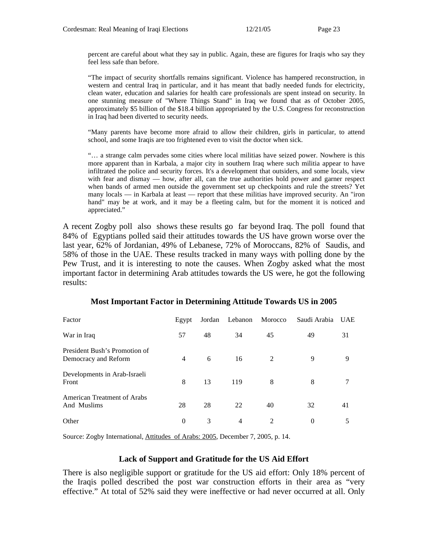percent are careful about what they say in public. Again, these are figures for Iraqis who say they feel less safe than before.

"The impact of security shortfalls remains significant. Violence has hampered reconstruction, in western and central Iraq in particular, and it has meant that badly needed funds for electricity, clean water, education and salaries for health care professionals are spent instead on security. In one stunning measure of "Where Things Stand" in Iraq we found that as of October 2005, approximately \$5 billion of the \$18.4 billion appropriated by the U.S. Congress for reconstruction in Iraq had been diverted to security needs.

"Many parents have become more afraid to allow their children, girls in particular, to attend school, and some Iraqis are too frightened even to visit the doctor when sick.

"… a strange calm pervades some cities where local militias have seized power. Nowhere is this more apparent than in Karbala, a major city in southern Iraq where such militia appear to have infiltrated the police and security forces. It's a development that outsiders, and some locals, view with fear and dismay — how, after all, can the true authorities hold power and garner respect when bands of armed men outside the government set up checkpoints and rule the streets? Yet many locals — in Karbala at least — report that these militias have improved security. An "iron hand" may be at work, and it may be a fleeting calm, but for the moment it is noticed and appreciated."

A recent Zogby poll also shows these results go far beyond Iraq. The poll found that 84% of Egyptians polled said their attitudes towards the US have grown worse over the last year, 62% of Jordanian, 49% of Lebanese, 72% of Moroccans, 82% of Saudis, and 58% of those in the UAE. These results tracked in many ways with polling done by the Pew Trust, and it is interesting to note the causes. When Zogby asked what the most important factor in determining Arab attitudes towards the US were, he got the following results:

| Factor                                                | Egypt          | Jordan | Lebanon | Morocco        | Saudi Arabia | UAE |
|-------------------------------------------------------|----------------|--------|---------|----------------|--------------|-----|
| War in Iraq                                           | 57             | 48     | 34      | 45             | 49           | 31  |
| President Bush's Promotion of<br>Democracy and Reform | $\overline{4}$ | 6      | 16      | 2              | 9            | 9   |
| Developments in Arab-Israeli<br>Front                 | 8              | 13     | 119     | 8              | 8            |     |
| American Treatment of Arabs<br>And Muslims            | 28             | 28     | 22      | 40             | 32           | 41  |
| Other                                                 | $\Omega$       | 3      | 4       | $\mathfrak{D}$ | $\Omega$     |     |

#### **Most Important Factor in Determining Attitude Towards US in 2005**

Source: Zogby International, Attitudes of Arabs: 2005, December 7, 2005, p. 14.

#### **Lack of Support and Gratitude for the US Aid Effort**

There is also negligible support or gratitude for the US aid effort: Only 18% percent of the Iraqis polled described the post war construction efforts in their area as "very effective." At total of 52% said they were ineffective or had never occurred at all. Only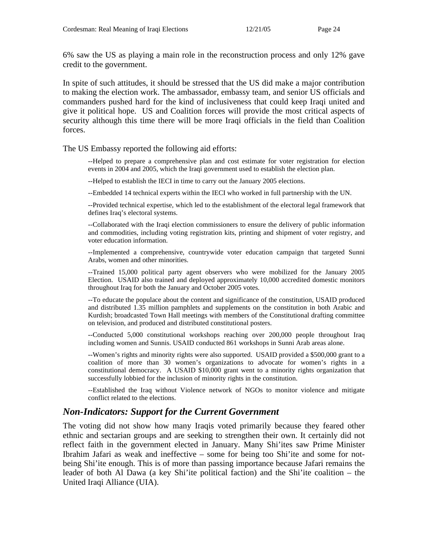6% saw the US as playing a main role in the reconstruction process and only 12% gave credit to the government.

In spite of such attitudes, it should be stressed that the US did make a major contribution to making the election work. The ambassador, embassy team, and senior US officials and commanders pushed hard for the kind of inclusiveness that could keep Iraqi united and give it political hope. US and Coalition forces will provide the most critical aspects of security although this time there will be more Iraqi officials in the field than Coalition forces.

The US Embassy reported the following aid efforts:

--Helped to prepare a comprehensive plan and cost estimate for voter registration for election events in 2004 and 2005, which the Iraqi government used to establish the election plan.

--Helped to establish the IECI in time to carry out the January 2005 elections.

--Embedded 14 technical experts within the IECI who worked in full partnership with the UN.

--Provided technical expertise, which led to the establishment of the electoral legal framework that defines Iraq's electoral systems.

--Collaborated with the Iraqi election commissioners to ensure the delivery of public information and commodities, including voting registration kits, printing and shipment of voter registry, and voter education information.

--Implemented a comprehensive, countrywide voter education campaign that targeted Sunni Arabs, women and other minorities.

--Trained 15,000 political party agent observers who were mobilized for the January 2005 Election. USAID also trained and deployed approximately 10,000 accredited domestic monitors throughout Iraq for both the January and October 2005 votes.

--To educate the populace about the content and significance of the constitution, USAID produced and distributed 1.35 million pamphlets and supplements on the constitution in both Arabic and Kurdish; broadcasted Town Hall meetings with members of the Constitutional drafting committee on television, and produced and distributed constitutional posters.

--Conducted 5,000 constitutional workshops reaching over 200,000 people throughout Iraq including women and Sunnis. USAID conducted 861 workshops in Sunni Arab areas alone.

--Women's rights and minority rights were also supported. USAID provided a \$500,000 grant to a coalition of more than 30 women's organizations to advocate for women's rights in a constitutional democracy. A USAID \$10,000 grant went to a minority rights organization that successfully lobbied for the inclusion of minority rights in the constitution.

--Established the Iraq without Violence network of NGOs to monitor violence and mitigate conflict related to the elections.

# *Non-Indicators: Support for the Current Government*

The voting did not show how many Iraqis voted primarily because they feared other ethnic and sectarian groups and are seeking to strengthen their own. It certainly did not reflect faith in the government elected in January. Many Shi'ites saw Prime Minister Ibrahim Jafari as weak and ineffective – some for being too Shi'ite and some for notbeing Shi'ite enough. This is of more than passing importance because Jafari remains the leader of both Al Dawa (a key Shi'ite political faction) and the Shi'ite coalition – the United Iraqi Alliance (UIA).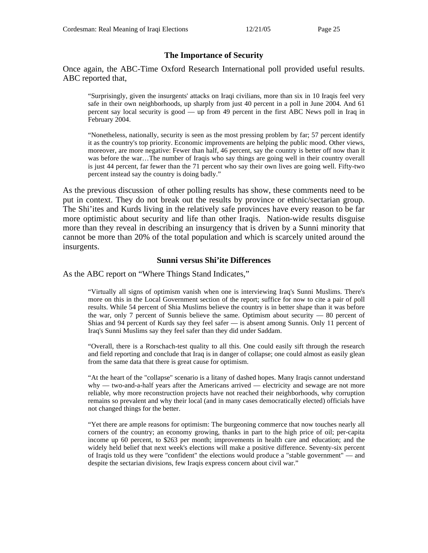#### **The Importance of Security**

Once again, the ABC-Time Oxford Research International poll provided useful results. ABC reported that,

"Surprisingly, given the insurgents' attacks on Iraqi civilians, more than six in 10 Iraqis feel very safe in their own neighborhoods, up sharply from just 40 percent in a poll in June 2004. And 61 percent say local security is good — up from 49 percent in the first ABC News poll in Iraq in February 2004.

"Nonetheless, nationally, security is seen as the most pressing problem by far; 57 percent identify it as the country's top priority. Economic improvements are helping the public mood. Other views, moreover, are more negative: Fewer than half, 46 percent, say the country is better off now than it was before the war…The number of Iraqis who say things are going well in their country overall is just 44 percent, far fewer than the 71 percent who say their own lives are going well. Fifty-two percent instead say the country is doing badly."

As the previous discussion of other polling results has show, these comments need to be put in context. They do not break out the results by province or ethnic/sectarian group. The Shi'ites and Kurds living in the relatively safe provinces have every reason to be far more optimistic about security and life than other Iraqis. Nation-wide results disguise more than they reveal in describing an insurgency that is driven by a Sunni minority that cannot be more than 20% of the total population and which is scarcely united around the insurgents.

#### **Sunni versus Shi'ite Differences**

As the ABC report on "Where Things Stand Indicates,"

"Virtually all signs of optimism vanish when one is interviewing Iraq's Sunni Muslims. There's more on this in the Local Government section of the report; suffice for now to cite a pair of poll results. While 54 percent of Shia Muslims believe the country is in better shape than it was before the war, only 7 percent of Sunnis believe the same. Optimism about security — 80 percent of Shias and 94 percent of Kurds say they feel safer — is absent among Sunnis. Only 11 percent of Iraq's Sunni Muslims say they feel safer than they did under Saddam.

"Overall, there is a Rorschach-test quality to all this. One could easily sift through the research and field reporting and conclude that Iraq is in danger of collapse; one could almost as easily glean from the same data that there is great cause for optimism.

"At the heart of the "collapse" scenario is a litany of dashed hopes. Many Iraqis cannot understand why — two-and-a-half years after the Americans arrived — electricity and sewage are not more reliable, why more reconstruction projects have not reached their neighborhoods, why corruption remains so prevalent and why their local (and in many cases democratically elected) officials have not changed things for the better.

"Yet there are ample reasons for optimism: The burgeoning commerce that now touches nearly all corners of the country; an economy growing, thanks in part to the high price of oil; per-capita income up 60 percent, to \$263 per month; improvements in health care and education; and the widely held belief that next week's elections will make a positive difference. Seventy-six percent of Iraqis told us they were "confident" the elections would produce a "stable government" — and despite the sectarian divisions, few Iraqis express concern about civil war."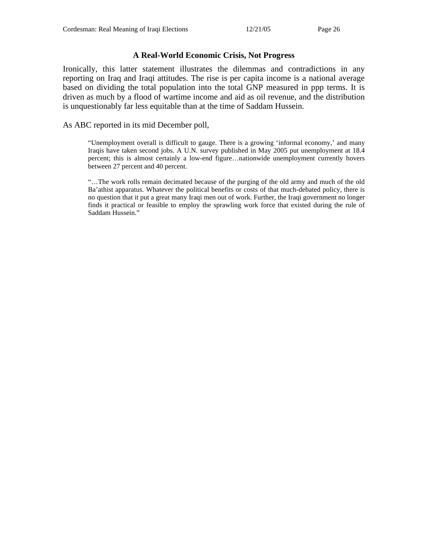#### **A Real-World Economic Crisis, Not Progress**

Ironically, this latter statement illustrates the dilemmas and contradictions in any reporting on Iraq and Iraqi attitudes. The rise is per capita income is a national average based on dividing the total population into the total GNP measured in ppp terms. It is driven as much by a flood of wartime income and aid as oil revenue, and the distribution is unquestionably far less equitable than at the time of Saddam Hussein.

#### As ABC reported in its mid December poll,

"Unemployment overall is difficult to gauge. There is a growing 'informal economy,' and many Iraqis have taken second jobs. A U.N. survey published in May 2005 put unemployment at 18.4 percent; this is almost certainly a low-end figure…nationwide unemployment currently hovers between 27 percent and 40 percent.

"…The work rolls remain decimated because of the purging of the old army and much of the old Ba'athist apparatus. Whatever the political benefits or costs of that much-debated policy, there is no question that it put a great many Iraqi men out of work. Further, the Iraqi government no longer finds it practical or feasible to employ the sprawling work force that existed during the rule of Saddam Hussein."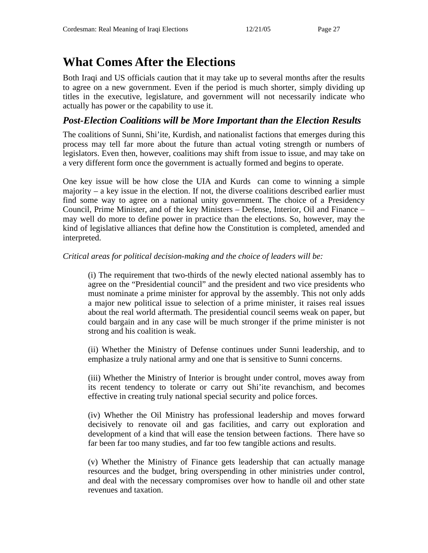# **What Comes After the Elections**

Both Iraqi and US officials caution that it may take up to several months after the results to agree on a new government. Even if the period is much shorter, simply dividing up titles in the executive, legislature, and government will not necessarily indicate who actually has power or the capability to use it.

# *Post-Election Coalitions will be More Important than the Election Results*

The coalitions of Sunni, Shi'ite, Kurdish, and nationalist factions that emerges during this process may tell far more about the future than actual voting strength or numbers of legislators. Even then, however, coalitions may shift from issue to issue, and may take on a very different form once the government is actually formed and begins to operate.

One key issue will be how close the UIA and Kurds can come to winning a simple majority – a key issue in the election. If not, the diverse coalitions described earlier must find some way to agree on a national unity government. The choice of a Presidency Council, Prime Minister, and of the key Ministers – Defense, Interior, Oil and Finance – may well do more to define power in practice than the elections. So, however, may the kind of legislative alliances that define how the Constitution is completed, amended and interpreted.

#### *Critical areas for political decision-making and the choice of leaders will be:*

(i) The requirement that two-thirds of the newly elected national assembly has to agree on the "Presidential council" and the president and two vice presidents who must nominate a prime minister for approval by the assembly. This not only adds a major new political issue to selection of a prime minister, it raises real issues about the real world aftermath. The presidential council seems weak on paper, but could bargain and in any case will be much stronger if the prime minister is not strong and his coalition is weak.

(ii) Whether the Ministry of Defense continues under Sunni leadership, and to emphasize a truly national army and one that is sensitive to Sunni concerns.

(iii) Whether the Ministry of Interior is brought under control, moves away from its recent tendency to tolerate or carry out Shi'ite revanchism, and becomes effective in creating truly national special security and police forces.

(iv) Whether the Oil Ministry has professional leadership and moves forward decisively to renovate oil and gas facilities, and carry out exploration and development of a kind that will ease the tension between factions. There have so far been far too many studies, and far too few tangible actions and results.

(v) Whether the Ministry of Finance gets leadership that can actually manage resources and the budget, bring overspending in other ministries under control, and deal with the necessary compromises over how to handle oil and other state revenues and taxation.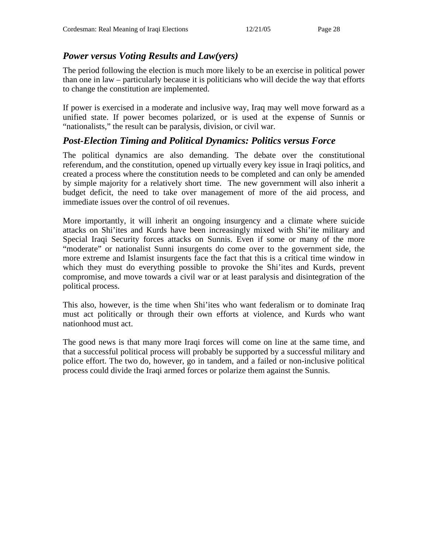# *Power versus Voting Results and Law(yers)*

The period following the election is much more likely to be an exercise in political power than one in law – particularly because it is politicians who will decide the way that efforts to change the constitution are implemented.

If power is exercised in a moderate and inclusive way, Iraq may well move forward as a unified state. If power becomes polarized, or is used at the expense of Sunnis or "nationalists," the result can be paralysis, division, or civil war.

# *Post-Election Timing and Political Dynamics: Politics versus Force*

The political dynamics are also demanding. The debate over the constitutional referendum, and the constitution, opened up virtually every key issue in Iraqi politics, and created a process where the constitution needs to be completed and can only be amended by simple majority for a relatively short time. The new government will also inherit a budget deficit, the need to take over management of more of the aid process, and immediate issues over the control of oil revenues.

More importantly, it will inherit an ongoing insurgency and a climate where suicide attacks on Shi'ites and Kurds have been increasingly mixed with Shi'ite military and Special Iraqi Security forces attacks on Sunnis. Even if some or many of the more "moderate" or nationalist Sunni insurgents do come over to the government side, the more extreme and Islamist insurgents face the fact that this is a critical time window in which they must do everything possible to provoke the Shi'ites and Kurds, prevent compromise, and move towards a civil war or at least paralysis and disintegration of the political process.

This also, however, is the time when Shi'ites who want federalism or to dominate Iraq must act politically or through their own efforts at violence, and Kurds who want nationhood must act.

The good news is that many more Iraqi forces will come on line at the same time, and that a successful political process will probably be supported by a successful military and police effort. The two do, however, go in tandem, and a failed or non-inclusive political process could divide the Iraqi armed forces or polarize them against the Sunnis.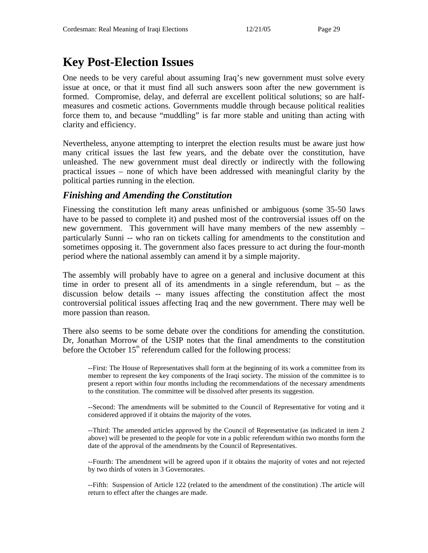# **Key Post-Election Issues**

One needs to be very careful about assuming Iraq's new government must solve every issue at once, or that it must find all such answers soon after the new government is formed. Compromise, delay, and deferral are excellent political solutions; so are halfmeasures and cosmetic actions. Governments muddle through because political realities force them to, and because "muddling" is far more stable and uniting than acting with clarity and efficiency.

Nevertheless, anyone attempting to interpret the election results must be aware just how many critical issues the last few years, and the debate over the constitution, have unleashed. The new government must deal directly or indirectly with the following practical issues – none of which have been addressed with meaningful clarity by the political parties running in the election.

# *Finishing and Amending the Constitution*

Finessing the constitution left many areas unfinished or ambiguous (some 35-50 laws have to be passed to complete it) and pushed most of the controversial issues off on the new government. This government will have many members of the new assembly – particularly Sunni -- who ran on tickets calling for amendments to the constitution and sometimes opposing it. The government also faces pressure to act during the four-month period where the national assembly can amend it by a simple majority.

The assembly will probably have to agree on a general and inclusive document at this time in order to present all of its amendments in a single referendum, but – as the discussion below details -- many issues affecting the constitution affect the most controversial political issues affecting Iraq and the new government. There may well be more passion than reason.

There also seems to be some debate over the conditions for amending the constitution. Dr, Jonathan Morrow of the USIP notes that the final amendments to the constitution before the October  $15<sup>th</sup>$  referendum called for the following process:

--First: The House of Representatives shall form at the beginning of its work a committee from its member to represent the key components of the Iraqi society. The mission of the committee is to present a report within four months including the recommendations of the necessary amendments to the constitution. The committee will be dissolved after presents its suggestion.

--Second: The amendments will be submitted to the Council of Representative for voting and it considered approved if it obtains the majority of the votes.

--Third: The amended articles approved by the Council of Representative (as indicated in item 2 above) will be presented to the people for vote in a public referendum within two months form the date of the approval of the amendments by the Council of Representatives.

--Fourth: The amendment will be agreed upon if it obtains the majority of votes and not rejected by two thirds of voters in 3 Governorates.

--Fifth: Suspension of Article 122 (related to the amendment of the constitution) .The article will return to effect after the changes are made.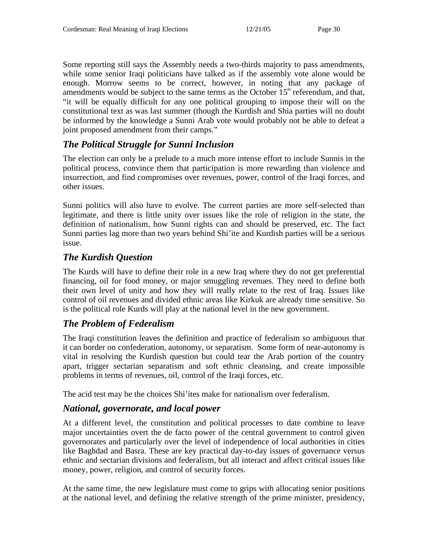Some reporting still says the Assembly needs a two-thirds majority to pass amendments, while some senior Iraqi politicians have talked as if the assembly vote alone would be enough. Morrow seems to be correct, however, in noting that any package of amendments would be subject to the same terms as the October  $15<sup>th</sup>$  referendum, and that, "it will be equally difficult for any one political grouping to impose their will on the constitutional text as was last summer (though the Kurdish and Shia parties will no doubt be informed by the knowledge a Sunni Arab vote would probably not be able to defeat a joint proposed amendment from their camps."

# *The Political Struggle for Sunni Inclusion*

The election can only be a prelude to a much more intense effort to include Sunnis in the political process, convince them that participation is more rewarding than violence and insurrection, and find compromises over revenues, power, control of the Iraqi forces, and other issues.

Sunni politics will also have to evolve. The current parties are more self-selected than legitimate, and there is little unity over issues like the role of religion in the state, the definition of nationalism, how Sunni rights can and should be preserved, etc. The fact Sunni parties lag more than two years behind Shi'ite and Kurdish parties will be a serious issue.

# *The Kurdish Question*

The Kurds will have to define their role in a new Iraq where they do not get preferential financing, oil for food money, or major smuggling revenues. They need to define both their own level of unity and how they will really relate to the rest of Iraq. Issues like control of oil revenues and divided ethnic areas like Kirkuk are already time sensitive. So is the political role Kurds will play at the national level in the new government.

# *The Problem of Federalism*

The Iraqi constitution leaves the definition and practice of federalism so ambiguous that it can border on confederation, autonomy, or separatism. Some form of near-autonomy is vital in resolving the Kurdish question but could tear the Arab portion of the country apart, trigger sectarian separatism and soft ethnic cleansing, and create impossible problems in terms of revenues, oil, control of the Iraqi forces, etc.

The acid test may be the choices Shi'ites make for nationalism over federalism.

# *National, governorate, and local power*

At a different level, the constitution and political processes to date combine to leave major uncertainties overt the de facto power of the central government to control given governorates and particularly over the level of independence of local authorities in cities like Baghdad and Basra. These are key practical day-to-day issues of governance versus ethnic and sectarian divisions and federalism, but all interact and affect critical issues like money, power, religion, and control of security forces.

At the same time, the new legislature must come to grips with allocating senior positions at the national level, and defining the relative strength of the prime minister, presidency,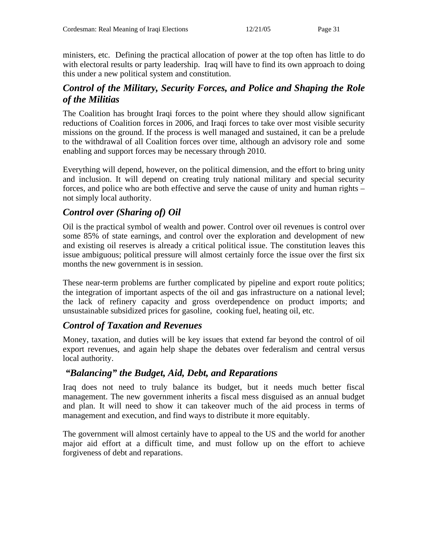ministers, etc. Defining the practical allocation of power at the top often has little to do with electoral results or party leadership. Iraq will have to find its own approach to doing this under a new political system and constitution.

# *Control of the Military, Security Forces, and Police and Shaping the Role of the Militias*

The Coalition has brought Iraqi forces to the point where they should allow significant reductions of Coalition forces in 2006, and Iraqi forces to take over most visible security missions on the ground. If the process is well managed and sustained, it can be a prelude to the withdrawal of all Coalition forces over time, although an advisory role and some enabling and support forces may be necessary through 2010.

Everything will depend, however, on the political dimension, and the effort to bring unity and inclusion. It will depend on creating truly national military and special security forces, and police who are both effective and serve the cause of unity and human rights – not simply local authority.

# *Control over (Sharing of) Oil*

Oil is the practical symbol of wealth and power. Control over oil revenues is control over some 85% of state earnings, and control over the exploration and development of new and existing oil reserves is already a critical political issue. The constitution leaves this issue ambiguous; political pressure will almost certainly force the issue over the first six months the new government is in session.

These near-term problems are further complicated by pipeline and export route politics; the integration of important aspects of the oil and gas infrastructure on a national level; the lack of refinery capacity and gross overdependence on product imports; and unsustainable subsidized prices for gasoline, cooking fuel, heating oil, etc.

# *Control of Taxation and Revenues*

Money, taxation, and duties will be key issues that extend far beyond the control of oil export revenues, and again help shape the debates over federalism and central versus local authority.

# *"Balancing" the Budget, Aid, Debt, and Reparations*

Iraq does not need to truly balance its budget, but it needs much better fiscal management. The new government inherits a fiscal mess disguised as an annual budget and plan. It will need to show it can takeover much of the aid process in terms of management and execution, and find ways to distribute it more equitably.

The government will almost certainly have to appeal to the US and the world for another major aid effort at a difficult time, and must follow up on the effort to achieve forgiveness of debt and reparations.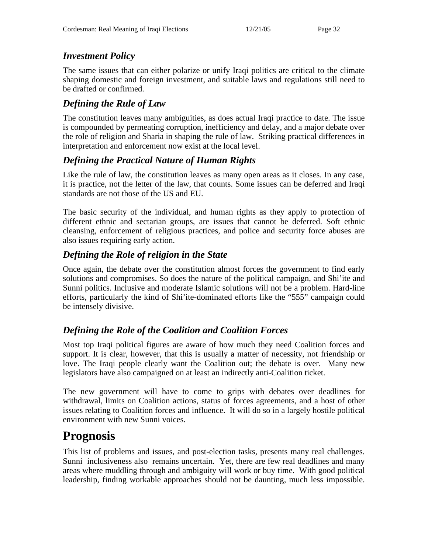# *Investment Policy*

The same issues that can either polarize or unify Iraqi politics are critical to the climate shaping domestic and foreign investment, and suitable laws and regulations still need to be drafted or confirmed.

# *Defining the Rule of Law*

The constitution leaves many ambiguities, as does actual Iraqi practice to date. The issue is compounded by permeating corruption, inefficiency and delay, and a major debate over the role of religion and Sharia in shaping the rule of law. Striking practical differences in interpretation and enforcement now exist at the local level.

# *Defining the Practical Nature of Human Rights*

Like the rule of law, the constitution leaves as many open areas as it closes. In any case, it is practice, not the letter of the law, that counts. Some issues can be deferred and Iraqi standards are not those of the US and EU.

The basic security of the individual, and human rights as they apply to protection of different ethnic and sectarian groups, are issues that cannot be deferred. Soft ethnic cleansing, enforcement of religious practices, and police and security force abuses are also issues requiring early action.

# *Defining the Role of religion in the State*

Once again, the debate over the constitution almost forces the government to find early solutions and compromises. So does the nature of the political campaign, and Shi'ite and Sunni politics. Inclusive and moderate Islamic solutions will not be a problem. Hard-line efforts, particularly the kind of Shi'ite-dominated efforts like the "555" campaign could be intensely divisive.

# *Defining the Role of the Coalition and Coalition Forces*

Most top Iraqi political figures are aware of how much they need Coalition forces and support. It is clear, however, that this is usually a matter of necessity, not friendship or love. The Iraqi people clearly want the Coalition out; the debate is over. Many new legislators have also campaigned on at least an indirectly anti-Coalition ticket.

The new government will have to come to grips with debates over deadlines for withdrawal, limits on Coalition actions, status of forces agreements, and a host of other issues relating to Coalition forces and influence. It will do so in a largely hostile political environment with new Sunni voices.

# **Prognosis**

This list of problems and issues, and post-election tasks, presents many real challenges. Sunni inclusiveness also remains uncertain. Yet, there are few real deadlines and many areas where muddling through and ambiguity will work or buy time. With good political leadership, finding workable approaches should not be daunting, much less impossible.